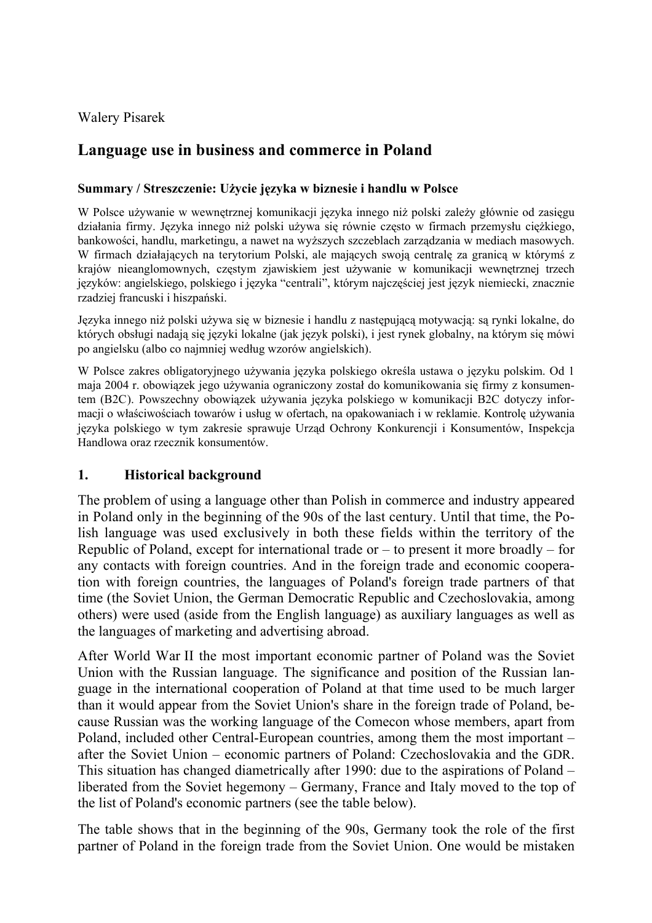Walery Pisarek

# **Language use in business and commerce in Poland**

#### **Summary / Streszczenie: Użycie języka w biznesie i handlu w Polsce**

W Polsce używanie w wewnętrznej komunikacji języka innego niż polski zależy głównie od zasięgu działania firmy. Języka innego niż polski używa się równie często w firmach przemysłu ciężkiego, bankowości, handlu, marketingu, a nawet na wyższych szczeblach zarządzania w mediach masowych. W firmach działających na terytorium Polski, ale mających swoją centralę za granicą w którymś z krajów nieanglomownych, częstym zjawiskiem jest używanie w komunikacji wewnętrznej trzech języków: angielskiego, polskiego i języka "centrali", którym najczęściej jest język niemiecki, znacznie rzadziej francuski i hiszpański.

Języka innego niż polski używa się w biznesie i handlu z następującą motywacją: są rynki lokalne, do których obsługi nadają się języki lokalne (jak język polski), i jest rynek globalny, na którym się mówi po angielsku (albo co najmniej według wzorów angielskich).

W Polsce zakres obligatoryjnego używania języka polskiego określa ustawa o języku polskim. Od 1 maja 2004 r. obowiązek jego używania ograniczony został do komunikowania się firmy z konsumentem (B2C). Powszechny obowiązek używania języka polskiego w komunikacji B2C dotyczy informacji o właściwościach towarów i usług w ofertach, na opakowaniach i w reklamie. Kontrolę używania języka polskiego w tym zakresie sprawuje Urząd Ochrony Konkurencji i Konsumentów, Inspekcja Handlowa oraz rzecznik konsumentów.

### **1. Historical background**

The problem of using a language other than Polish in commerce and industry appeared in Poland only in the beginning of the 90s of the last century. Until that time, the Polish language was used exclusively in both these fields within the territory of the Republic of Poland, except for international trade or  $-$  to present it more broadly  $-$  for any contacts with foreign countries. And in the foreign trade and economic cooperation with foreign countries, the languages of Poland's foreign trade partners of that time (the Soviet Union, the German Democratic Republic and Czechoslovakia, among others) were used (aside from the English language) as auxiliary languages as well as the languages of marketing and advertising abroad.

After World War II the most important economic partner of Poland was the Soviet Union with the Russian language. The significance and position of the Russian language in the international cooperation of Poland at that time used to be much larger than it would appear from the Soviet Union's share in the foreign trade of Poland, because Russian was the working language of the Comecon whose members, apart from Poland, included other Central-European countries, among them the most important – after the Soviet Union – economic partners of Poland: Czechoslovakia and the GDR. This situation has changed diametrically after 1990: due to the aspirations of Poland – liberated from the Soviet hegemony – Germany, France and Italy moved to the top of the list of Poland's economic partners (see the table below).

The table shows that in the beginning of the 90s, Germany took the role of the first partner of Poland in the foreign trade from the Soviet Union. One would be mistaken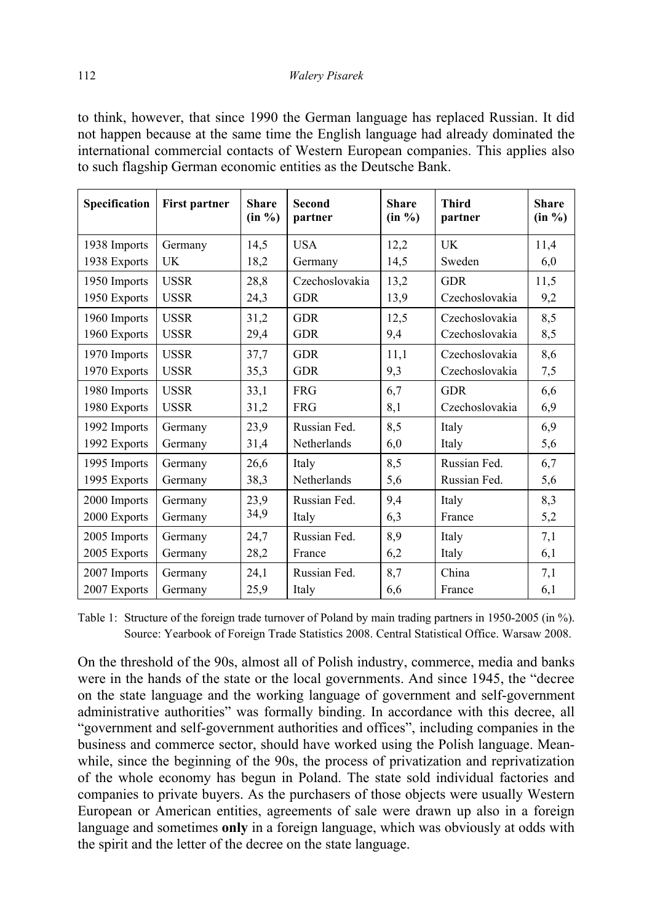to think, however, that since 1990 the German language has replaced Russian. It did not happen because at the same time the English language had already dominated the international commercial contacts of Western European companies. This applies also to such flagship German economic entities as the Deutsche Bank.

| Specification | <b>First partner</b> | <b>Share</b><br>(in %) | <b>Second</b><br>partner | <b>Share</b><br>(in %) | <b>Third</b><br>partner | <b>Share</b><br>$(in \%)$ |
|---------------|----------------------|------------------------|--------------------------|------------------------|-------------------------|---------------------------|
| 1938 Imports  | Germany              | 14,5                   | <b>USA</b>               | 12,2                   | <b>UK</b>               | 11,4                      |
| 1938 Exports  | <b>UK</b>            | 18,2                   | Germany                  | 14,5                   | Sweden                  | 6,0                       |
| 1950 Imports  | <b>USSR</b>          | 28,8                   | Czechoslovakia           | 13,2                   | <b>GDR</b>              | 11,5                      |
| 1950 Exports  | <b>USSR</b>          | 24,3                   | <b>GDR</b>               | 13,9                   | Czechoslovakia          | 9,2                       |
| 1960 Imports  | <b>USSR</b>          | 31,2                   | <b>GDR</b>               | 12,5                   | Czechoslovakia          | 8,5                       |
| 1960 Exports  | <b>USSR</b>          | 29,4                   | <b>GDR</b>               | 9,4                    | Czechoslovakia          | 8,5                       |
| 1970 Imports  | <b>USSR</b>          | 37,7                   | <b>GDR</b>               | 11,1                   | Czechoslovakia          | 8,6                       |
| 1970 Exports  | <b>USSR</b>          | 35,3                   | <b>GDR</b>               | 9,3                    | Czechoslovakia          | 7,5                       |
| 1980 Imports  | <b>USSR</b>          | 33,1                   | <b>FRG</b>               | 6,7                    | <b>GDR</b>              | 6,6                       |
| 1980 Exports  | <b>USSR</b>          | 31,2                   | <b>FRG</b>               | 8,1                    | Czechoslovakia          | 6,9                       |
| 1992 Imports  | Germany              | 23,9                   | Russian Fed.             | 8,5                    | Italy                   | 6,9                       |
| 1992 Exports  | Germany              | 31,4                   | Netherlands              | 6,0                    | Italy                   | 5,6                       |
| 1995 Imports  | Germany              | 26,6                   | Italy                    | 8,5                    | Russian Fed.            | 6,7                       |
| 1995 Exports  | Germany              | 38,3                   | Netherlands              | 5,6                    | Russian Fed.            | 5,6                       |
| 2000 Imports  | Germany              | 23,9                   | Russian Fed.             | 9,4                    | Italy                   | 8,3                       |
| 2000 Exports  | Germany              | 34,9                   | Italy                    | 6,3                    | France                  | 5,2                       |
| 2005 Imports  | Germany              | 24,7                   | Russian Fed.             | 8,9                    | Italy                   | 7,1                       |
| 2005 Exports  | Germany              | 28,2                   | France                   | 6,2                    | Italy                   | 6,1                       |
| 2007 Imports  | Germany              | 24,1                   | Russian Fed.             | 8,7                    | China                   | 7,1                       |
| 2007 Exports  | Germany              | 25,9                   | Italy                    | 6,6                    | France                  | 6,1                       |

Table 1: Structure of the foreign trade turnover of Poland by main trading partners in 1950-2005 (in %). Source: Yearbook of Foreign Trade Statistics 2008. Central Statistical Office. Warsaw 2008.

On the threshold of the 90s, almost all of Polish industry, commerce, media and banks were in the hands of the state or the local governments. And since 1945, the "decree on the state language and the working language of government and self-government administrative authorities" was formally binding. In accordance with this decree, all "government and self-government authorities and offices", including companies in the business and commerce sector, should have worked using the Polish language. Meanwhile, since the beginning of the 90s, the process of privatization and reprivatization of the whole economy has begun in Poland. The state sold individual factories and companies to private buyers. As the purchasers of those objects were usually Western European or American entities, agreements of sale were drawn up also in a foreign language and sometimes **only** in a foreign language, which was obviously at odds with the spirit and the letter of the decree on the state language.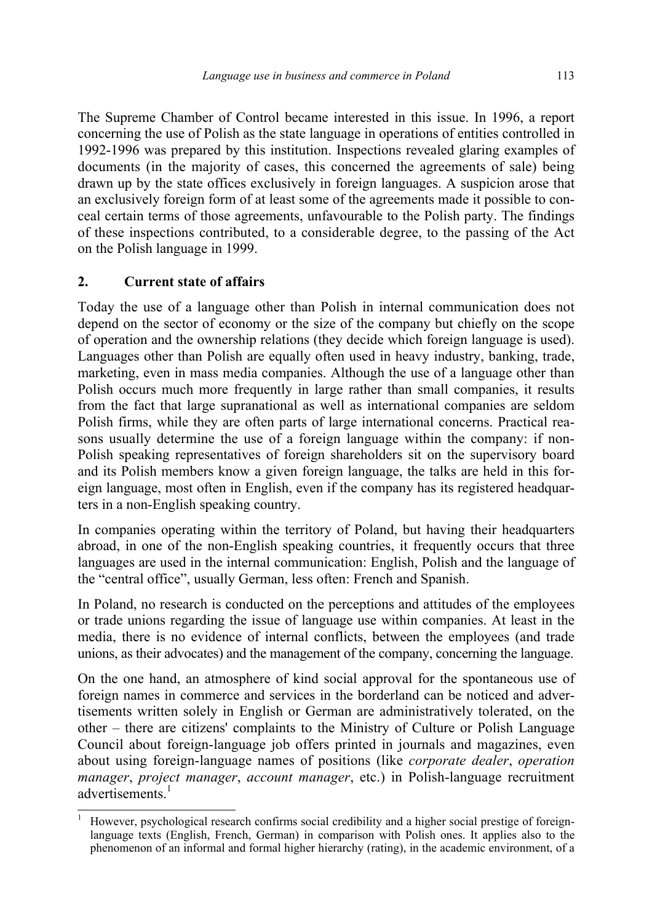The Supreme Chamber of Control became interested in this issue. In 1996, a report concerning the use of Polish as the state language in operations of entities controlled in 1992-1996 was prepared by this institution. Inspections revealed glaring examples of documents (in the majority of cases, this concerned the agreements of sale) being drawn up by the state offices exclusively in foreign languages. A suspicion arose that an exclusively foreign form of at least some of the agreements made it possible to conceal certain terms of those agreements, unfavourable to the Polish party. The findings of these inspections contributed, to a considerable degree, to the passing of the Act on the Polish language in 1999.

## **2. Current state of affairs**

Today the use of a language other than Polish in internal communication does not depend on the sector of economy or the size of the company but chiefly on the scope of operation and the ownership relations (they decide which foreign language is used). Languages other than Polish are equally often used in heavy industry, banking, trade, marketing, even in mass media companies. Although the use of a language other than Polish occurs much more frequently in large rather than small companies, it results from the fact that large supranational as well as international companies are seldom Polish firms, while they are often parts of large international concerns. Practical reasons usually determine the use of a foreign language within the company: if non-Polish speaking representatives of foreign shareholders sit on the supervisory board and its Polish members know a given foreign language, the talks are held in this foreign language, most often in English, even if the company has its registered headquarters in a non-English speaking country.

In companies operating within the territory of Poland, but having their headquarters abroad, in one of the non-English speaking countries, it frequently occurs that three languages are used in the internal communication: English, Polish and the language of the "central office", usually German, less often: French and Spanish.

In Poland, no research is conducted on the perceptions and attitudes of the employees or trade unions regarding the issue of language use within companies. At least in the media, there is no evidence of internal conflicts, between the employees (and trade unions, as their advocates) and the management of the company, concerning the language.

On the one hand, an atmosphere of kind social approval for the spontaneous use of foreign names in commerce and services in the borderland can be noticed and advertisements written solely in English or German are administratively tolerated, on the other – there are citizens' complaints to the Ministry of Culture or Polish Language Council about foreign-language job offers printed in journals and magazines, even about using foreign-language names of positions (like *corporate dealer*, *operation manager*, *project manager*, *account manager*, etc.) in Polish-language recruitment advertisements<sup>1</sup>

 $\overline{a}$ 1 However, psychological research confirms social credibility and a higher social prestige of foreignlanguage texts (English, French, German) in comparison with Polish ones. It applies also to the phenomenon of an informal and formal higher hierarchy (rating), in the academic environment, of a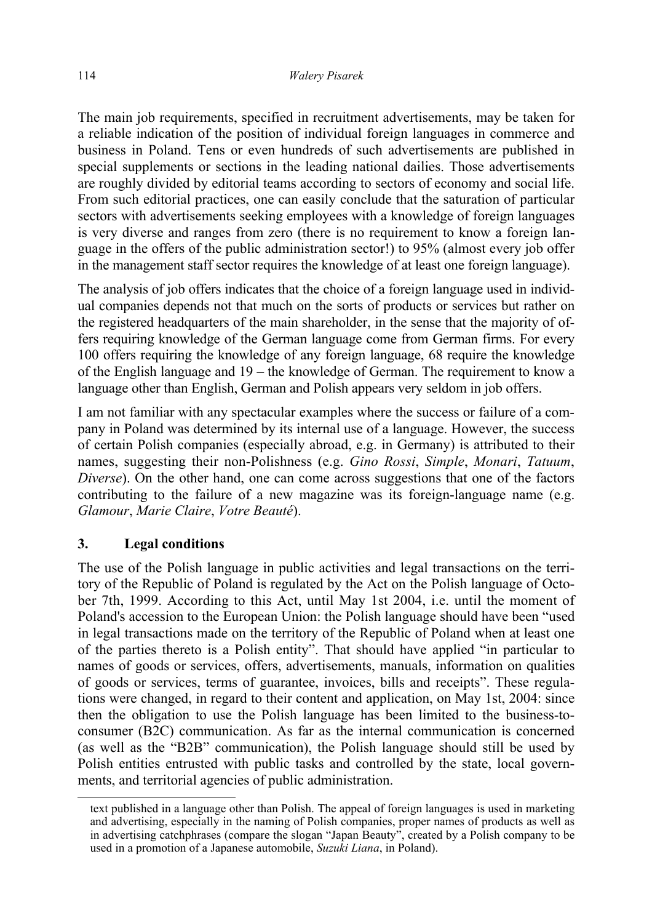The main job requirements, specified in recruitment advertisements, may be taken for a reliable indication of the position of individual foreign languages in commerce and business in Poland. Tens or even hundreds of such advertisements are published in special supplements or sections in the leading national dailies. Those advertisements are roughly divided by editorial teams according to sectors of economy and social life. From such editorial practices, one can easily conclude that the saturation of particular sectors with advertisements seeking employees with a knowledge of foreign languages is very diverse and ranges from zero (there is no requirement to know a foreign language in the offers of the public administration sector!) to 95% (almost every job offer in the management staff sector requires the knowledge of at least one foreign language).

The analysis of job offers indicates that the choice of a foreign language used in individual companies depends not that much on the sorts of products or services but rather on the registered headquarters of the main shareholder, in the sense that the majority of offers requiring knowledge of the German language come from German firms. For every 100 offers requiring the knowledge of any foreign language, 68 require the knowledge of the English language and 19 – the knowledge of German. The requirement to know a language other than English, German and Polish appears very seldom in job offers.

I am not familiar with any spectacular examples where the success or failure of a company in Poland was determined by its internal use of a language. However, the success of certain Polish companies (especially abroad, e.g. in Germany) is attributed to their names, suggesting their non-Polishness (e.g. *Gino Rossi*, *Simple*, *Monari*, *Tatuum*, *Diverse*). On the other hand, one can come across suggestions that one of the factors contributing to the failure of a new magazine was its foreign-language name (e.g. *Glamour*, *Marie Claire*, *Votre Beauté*).

### **3. Legal conditions**

 $\overline{a}$ 

The use of the Polish language in public activities and legal transactions on the territory of the Republic of Poland is regulated by the Act on the Polish language of October 7th, 1999. According to this Act, until May 1st 2004, i.e. until the moment of Poland's accession to the European Union: the Polish language should have been "used in legal transactions made on the territory of the Republic of Poland when at least one of the parties thereto is a Polish entity". That should have applied "in particular to names of goods or services, offers, advertisements, manuals, information on qualities of goods or services, terms of guarantee, invoices, bills and receipts". These regulations were changed, in regard to their content and application, on May 1st, 2004: since then the obligation to use the Polish language has been limited to the business-toconsumer (B2C) communication. As far as the internal communication is concerned (as well as the "B2B" communication), the Polish language should still be used by Polish entities entrusted with public tasks and controlled by the state, local governments, and territorial agencies of public administration.

text published in a language other than Polish. The appeal of foreign languages is used in marketing and advertising, especially in the naming of Polish companies, proper names of products as well as in advertising catchphrases (compare the slogan "Japan Beauty", created by a Polish company to be used in a promotion of a Japanese automobile, *Suzuki Liana*, in Poland).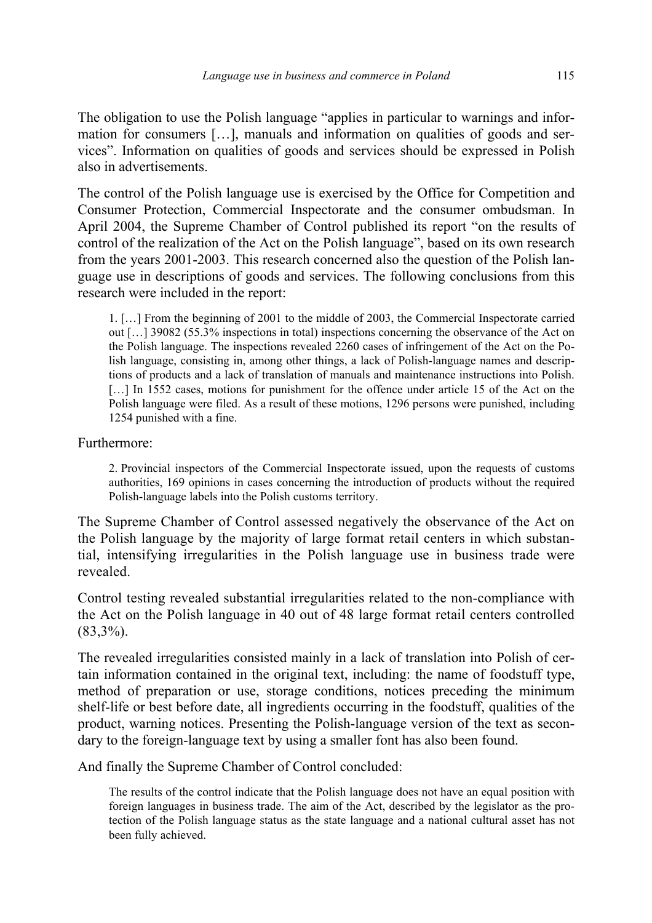The obligation to use the Polish language "applies in particular to warnings and information for consumers […], manuals and information on qualities of goods and services". Information on qualities of goods and services should be expressed in Polish also in advertisements.

The control of the Polish language use is exercised by the Office for Competition and Consumer Protection, Commercial Inspectorate and the consumer ombudsman. In April 2004, the Supreme Chamber of Control published its report "on the results of control of the realization of the Act on the Polish language", based on its own research from the years 2001-2003. This research concerned also the question of the Polish language use in descriptions of goods and services. The following conclusions from this research were included in the report:

1. […] From the beginning of 2001 to the middle of 2003, the Commercial Inspectorate carried out […] 39082 (55.3% inspections in total) inspections concerning the observance of the Act on the Polish language. The inspections revealed 2260 cases of infringement of the Act on the Polish language, consisting in, among other things, a lack of Polish-language names and descriptions of products and a lack of translation of manuals and maintenance instructions into Polish. [...] In 1552 cases, motions for punishment for the offence under article 15 of the Act on the Polish language were filed. As a result of these motions, 1296 persons were punished, including 1254 punished with a fine.

Furthermore:

2. Provincial inspectors of the Commercial Inspectorate issued, upon the requests of customs authorities, 169 opinions in cases concerning the introduction of products without the required Polish-language labels into the Polish customs territory.

The Supreme Chamber of Control assessed negatively the observance of the Act on the Polish language by the majority of large format retail centers in which substantial, intensifying irregularities in the Polish language use in business trade were revealed.

Control testing revealed substantial irregularities related to the non-compliance with the Act on the Polish language in 40 out of 48 large format retail centers controlled  $(83,3\%)$ .

The revealed irregularities consisted mainly in a lack of translation into Polish of certain information contained in the original text, including: the name of foodstuff type, method of preparation or use, storage conditions, notices preceding the minimum shelf-life or best before date, all ingredients occurring in the foodstuff, qualities of the product, warning notices. Presenting the Polish-language version of the text as secondary to the foreign-language text by using a smaller font has also been found.

And finally the Supreme Chamber of Control concluded:

The results of the control indicate that the Polish language does not have an equal position with foreign languages in business trade. The aim of the Act, described by the legislator as the protection of the Polish language status as the state language and a national cultural asset has not been fully achieved.